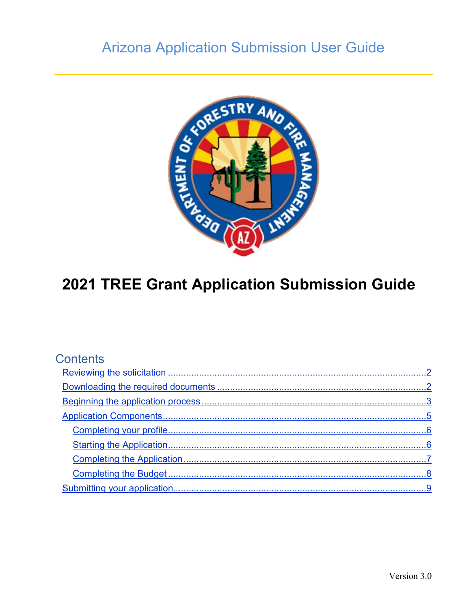## **Arizona Application Submission User Guide**



# 2021 TREE Grant Application Submission Guide

<span id="page-0-0"></span>

| Contents                    |          |
|-----------------------------|----------|
|                             |          |
|                             |          |
|                             |          |
|                             |          |
|                             |          |
|                             |          |
|                             |          |
|                             |          |
| Submitting your application | <u>c</u> |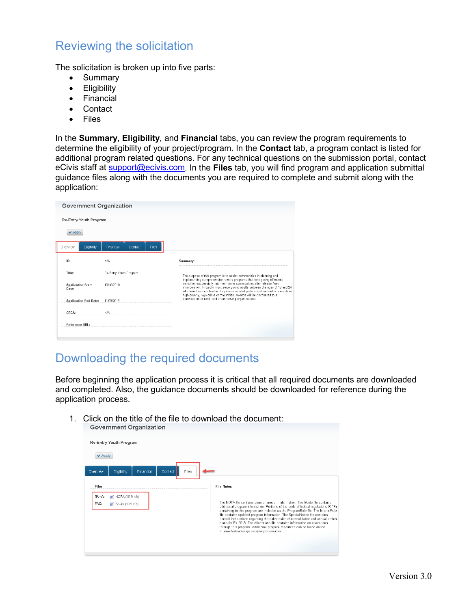#### Reviewing the solicitation

The solicitation is broken up into five parts:

- Summary
- Eligibility
- Financial
- Contact
- Files

In the **Summary**, **Eligibility**, and **Financial** tabs, you can review the program requirements to determine the eligibility of your project/program. In the **Contact** tab, a program contact is listed for additional program related questions. For any technical questions on the submission portal, contact eCivis staff at [support@ecivis.com.](mailto:support@ecivis.com) In the **Files** tab, you will find program and application submittal guidance files along with the documents you are required to complete and submit along with the application:

| <b>Government Organization</b>    |                        |       |                                                                                                                                                                                                                                                                                                                      |
|-----------------------------------|------------------------|-------|----------------------------------------------------------------------------------------------------------------------------------------------------------------------------------------------------------------------------------------------------------------------------------------------------------------------|
| Re-Entry Youth Program            |                        |       |                                                                                                                                                                                                                                                                                                                      |
| $\vee$ Apph                       |                        |       |                                                                                                                                                                                                                                                                                                                      |
| Overview<br>Eligibility           | Financial<br>Contact   | Files |                                                                                                                                                                                                                                                                                                                      |
| ID:                               | N/A                    |       | Summary:                                                                                                                                                                                                                                                                                                             |
| Title:                            | Re-Entry Youth Program |       | The purpose of this program is to assist communities in planning and                                                                                                                                                                                                                                                 |
| <b>Application Start</b><br>Date: | 10/18/2018             |       | implementing comprehensive reentry programs that help young offenders<br>transition successfully into their home communities after release from<br>incarceration. Projects must serve young adults between the ages of 18 and 24<br>who have been involved in the juvenile or adult justice system and who reside in |
| <b>Application End Date:</b>      | 11/09/2018             |       | high-poverty, high-crime communities. Awards will be distributed to a<br>combination or rural- and urban-serving organizations.                                                                                                                                                                                      |
| CFDA:                             | N/A                    |       |                                                                                                                                                                                                                                                                                                                      |
| Reference IIRI :                  |                        |       |                                                                                                                                                                                                                                                                                                                      |

#### <span id="page-1-0"></span>Downloading the required documents

Before beginning the application process it is critical that all required documents are downloaded and completed. Also, the guidance documents should be downloaded for reference during the application process.

1. Click on the title of the file to download the document:<br>Government Organization

| Re-Entry Youth Program                                     |                                                                                                                                                                                                                                                                                                                                                                                                                                                                                                                                                                                                                           |
|------------------------------------------------------------|---------------------------------------------------------------------------------------------------------------------------------------------------------------------------------------------------------------------------------------------------------------------------------------------------------------------------------------------------------------------------------------------------------------------------------------------------------------------------------------------------------------------------------------------------------------------------------------------------------------------------|
| $\vee$ Apply                                               |                                                                                                                                                                                                                                                                                                                                                                                                                                                                                                                                                                                                                           |
| Files<br>Eligibility<br>Financial<br>Contact<br>Overview   |                                                                                                                                                                                                                                                                                                                                                                                                                                                                                                                                                                                                                           |
| Files:                                                     | <b>File Notes:</b>                                                                                                                                                                                                                                                                                                                                                                                                                                                                                                                                                                                                        |
| NOFA:<br>MOFA (10.9 Kb)<br>FAQ:<br><b>n</b> FAQs (10.9 Kb) | The NOFA file contains general program information. The Guide file contains<br>additional program information. Portions of the code of federal regulations (CFR)<br>pertaining to this program are included as the ProgramRule file. The InterimRule<br>file contains updated program information. The SpecialNotice file contains<br>special instructions regarding the submission of consolidated and annual action<br>plans for FY 2018. The Allocations file contains information on allocations<br>through this program. Additional program resources can be found online<br>at www.hudexchange.info/programs/home/. |
|                                                            |                                                                                                                                                                                                                                                                                                                                                                                                                                                                                                                                                                                                                           |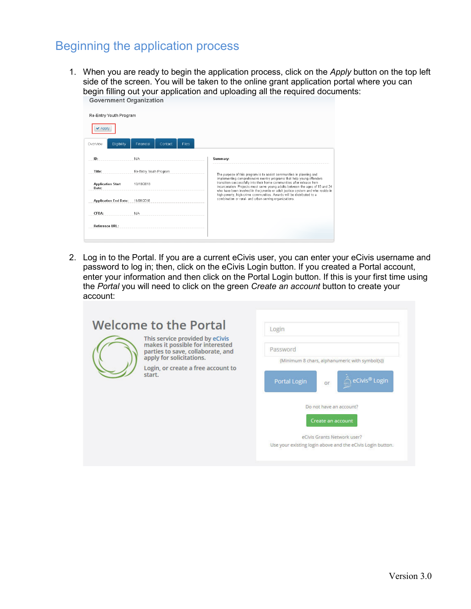#### <span id="page-2-0"></span>Beginning the application process

1. When you are ready to begin the application process, click on the *Apply* button on the top left side of the screen. You will be taken to the online grant application portal where you can begin filling out your application and uploading all the required documents:

| Apply                             |                               |                                                                                                                                                                                                                                                                                                                      |
|-----------------------------------|-------------------------------|----------------------------------------------------------------------------------------------------------------------------------------------------------------------------------------------------------------------------------------------------------------------------------------------------------------------|
| Eligibility<br>Overview           | Financial<br>Files<br>Contact |                                                                                                                                                                                                                                                                                                                      |
| ID:                               | <b>N/A</b>                    | Summary:                                                                                                                                                                                                                                                                                                             |
| Title:                            | Re-Entry Youth Program        | The purpose of this program is to assist communities in planning and                                                                                                                                                                                                                                                 |
| <b>Application Start</b><br>Date: | 10/18/2018                    | implementing comprehensive reentry programs that help young offenders<br>transition successfully into their home communities after release from<br>incarceration. Projects must serve young adults between the ages of 18 and 24<br>who have been involved in the juvenile or adult justice system and who reside in |
| <b>Application End Date:</b>      | 11/09/2018                    | high-poverty, high-crime communities. Awards will be distributed to a<br>combination or rural- and urban-serving organizations.                                                                                                                                                                                      |
| CFDA:                             | N/A                           |                                                                                                                                                                                                                                                                                                                      |
| Reference URL:                    |                               |                                                                                                                                                                                                                                                                                                                      |

2. Log in to the Portal. If you are a current eCivis user, you can enter your eCivis username and password to log in; then, click on the eCivis Login button. If you created a Portal account, enter your information and then click on the Portal Login button. If this is your first time using the *Portal* you will need to click on the green *Create an account* button to create your account:

| <b>Welcome to the Portal</b>                                                                                                                                                         | Login                                                                                     |
|--------------------------------------------------------------------------------------------------------------------------------------------------------------------------------------|-------------------------------------------------------------------------------------------|
| This service provided by eCivis<br>makes it possible for interested<br>parties to save, collaborate, and<br>apply for solicitations.<br>Login, or create a free account to<br>start. | Password<br>(Minimum 8 chars, alphanumeric with symbol(s))                                |
|                                                                                                                                                                                      | eCivis <sup>®</sup> Login<br>Portal Login<br>or                                           |
|                                                                                                                                                                                      | Do not have an account?<br>Create an account                                              |
|                                                                                                                                                                                      | eCivis Grants Network user?<br>Use your existing login above and the eCivis Login button. |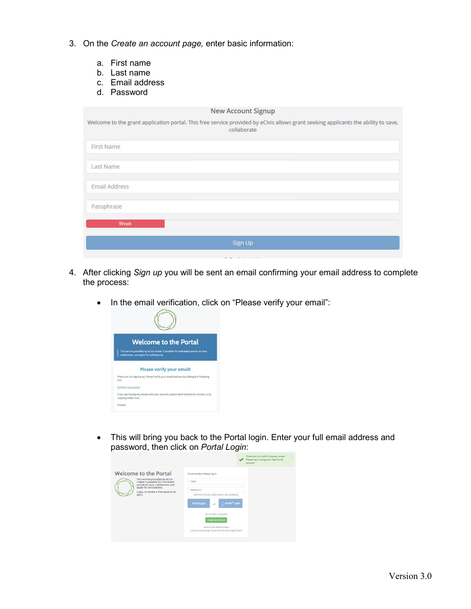- 3. On the *Create an account page,* enter basic information:
	- a. First name
	- b. Last name
	- c. Email address
	- d. Password

| <b>New Account Signup</b>                                                                                                                         |
|---------------------------------------------------------------------------------------------------------------------------------------------------|
| Welcome to the grant application portal. This free service provided by eCivis allows grant seeking applicants the ability to save,<br>collaborate |
| <b>First Name</b>                                                                                                                                 |
| <b>Last Name</b>                                                                                                                                  |
| <b>Email Address</b>                                                                                                                              |
| Passphrase                                                                                                                                        |
| Weak                                                                                                                                              |
| Sign Up                                                                                                                                           |
| <b>CARLING COMMUNICATION CONTINUES.</b>                                                                                                           |

- 4. After clicking *Sign up* you will be sent an email confirming your email address to complete the process:
	- In the email verification, click on "Please verify your email":



• This will bring you back to the Portal login. Enter your full email address and password, then click on *Portal Login*:

|                                                                                                          | Thank you for confirming your email.<br>Please log in using your new Portal<br>account. |
|----------------------------------------------------------------------------------------------------------|-----------------------------------------------------------------------------------------|
| <b>Welcome to the Portal</b>                                                                             | Email verified. Please log in.                                                          |
| This service provided by eCivis<br>makes it possible for interested<br>parties to save, collaborate, and | Login                                                                                   |
| apply for solicitations.<br>Login, or create a free account to                                           | Password                                                                                |
| start.                                                                                                   | (Minimum 8 chars, alphanumeric with symbol(s))                                          |
|                                                                                                          | eCivis <sup>®</sup> Login<br><b>Portal Login</b><br>or                                  |
|                                                                                                          | Do not have an account?                                                                 |
|                                                                                                          | Create an account                                                                       |
|                                                                                                          | eCivis Grants Network user?                                                             |
|                                                                                                          | Use your existing login above and the eCivis Login button.                              |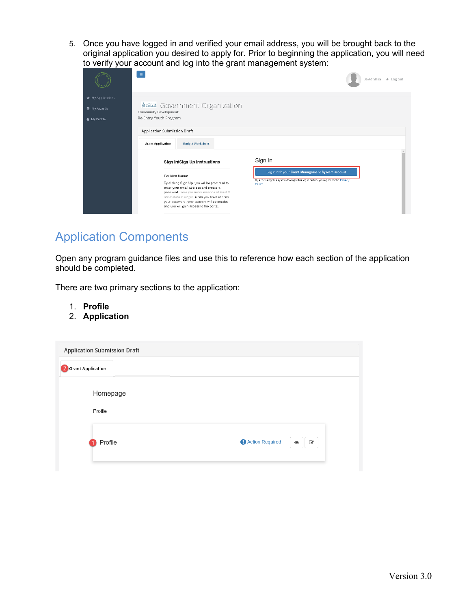5. Once you have logged in and verified your email address, you will be brought back to the original application you desired to apply for. Prior to beginning the application, you will need to verify your account and log into the grant management system:

|                                    | $\equiv$                                                                                                                                                                                                                                                                    | David Shea <sup>→</sup> Log out                                                        |
|------------------------------------|-----------------------------------------------------------------------------------------------------------------------------------------------------------------------------------------------------------------------------------------------------------------------------|----------------------------------------------------------------------------------------|
| <b>#</b> My Applications           |                                                                                                                                                                                                                                                                             |                                                                                        |
| <b>专 My Awards</b><br>& My Profile | <b>Accivis</b> Government Organization<br>Community Development<br>Re-Entry Youth Program                                                                                                                                                                                   |                                                                                        |
|                                    | Application Submission Draft                                                                                                                                                                                                                                                |                                                                                        |
|                                    | <b>Budget Worksheet</b><br><b>Grant Application</b>                                                                                                                                                                                                                         |                                                                                        |
|                                    | Sign In/Sign Up Instructions                                                                                                                                                                                                                                                | Sign In                                                                                |
|                                    | For New Users:                                                                                                                                                                                                                                                              | Log in with your Grant Management System account                                       |
|                                    | By clicking Sign Up, you will be prompted to<br>enter your email address and create a<br>password. Your password must be at least 8<br>characters in length. Once you have chosen<br>your password, your account will be created<br>and you will gain access to the portal. | By accessing this system through this login button, you agree to the Privacy<br>Policy |

### <span id="page-4-0"></span>Application Components

Open any program guidance files and use this to reference how each section of the application should be completed.

There are two primary sections to the application:

- 1. **Profile**
- 2. **Application**

|                     | <b>Application Submission Draft</b> |                 |                             |
|---------------------|-------------------------------------|-----------------|-----------------------------|
| 2 Grant Application |                                     |                 |                             |
| Profile             | Homepage                            |                 |                             |
|                     | Profile                             | Action Required | $\epsilon$<br>$\circledast$ |
|                     |                                     |                 |                             |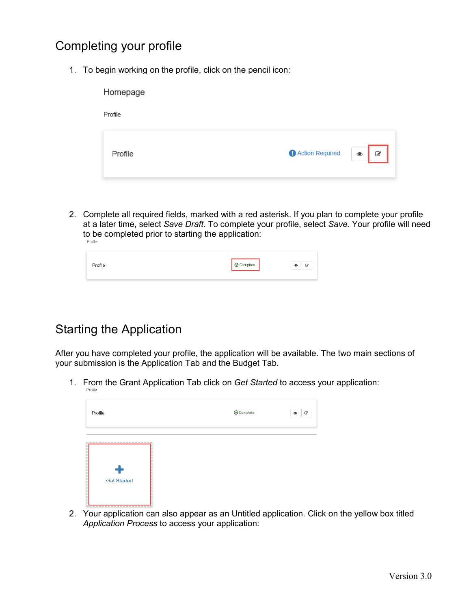#### <span id="page-5-0"></span>Completing your profile

1. To begin working on the profile, click on the pencil icon:

| Homepage |                                       |
|----------|---------------------------------------|
| Profile  |                                       |
| Profile  | Action Required<br>$\circledast$<br>€ |

2. Complete all required fields, marked with a red asterisk. If you plan to complete your profile at a later time, select *Save Draft*. To complete your profile, select *Save.* Your profile will need to be completed prior to starting the application:<br>
Profile

| Profile | $\bigotimes$ Complete | Ø<br>⊛ |
|---------|-----------------------|--------|
|         |                       |        |

#### <span id="page-5-1"></span>Starting the Application

After you have completed your profile, the application will be available. The two main sections of your submission is the Application Tab and the Budget Tab.

1. From the Grant Application Tab click on *Get Started* to access your application:

| Profile                                             | <b>O</b> Complete | $\mathcal{Q}$<br>$\circledcirc$ |
|-----------------------------------------------------|-------------------|---------------------------------|
| ------------------------<br>Ť<br><b>Get Started</b> |                   |                                 |

2. Your application can also appear as an Untitled application. Click on the yellow box titled *Application Process* to access your application: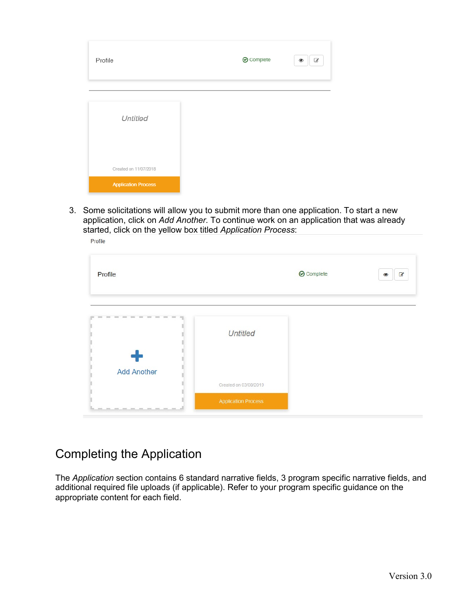| Profile                    | <b>⊙</b> Complete | €<br>۲ |
|----------------------------|-------------------|--------|
| Untitled                   |                   |        |
|                            |                   |        |
| Created on 11/07/2018      |                   |        |
| <b>Application Process</b> |                   |        |

3. Some solicitations will allow you to submit more than one application. To start a new application, click on *Add Another.* To continue work on an application that was already started, click on the yellow box titled *Application Process*: Profile

| Profile            |                            | Complete | $\overline{a}$<br>$\circledcirc$ |
|--------------------|----------------------------|----------|----------------------------------|
|                    | <b>Untitled</b>            |          |                                  |
| <b>Add Another</b> | Created on 03/08/2019      |          |                                  |
|                    | <b>Application Process</b> |          |                                  |

#### <span id="page-6-0"></span>Completing the Application

The *Application* section contains 6 standard narrative fields, 3 program specific narrative fields, and additional required file uploads (if applicable). Refer to your program specific guidance on the appropriate content for each field.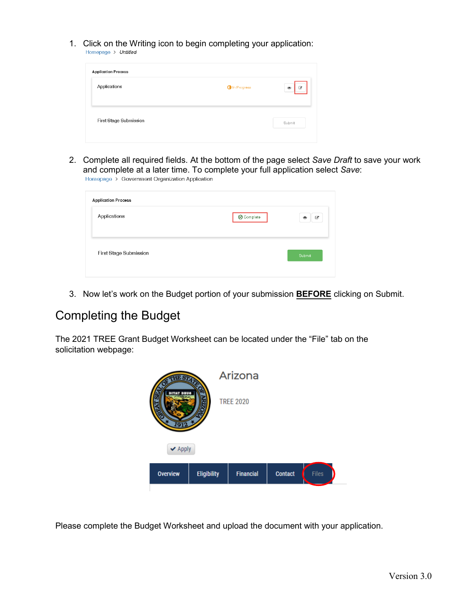1. Click on the Writing icon to begin completing your application:<br>
Homepage > Untitled

| <b>Application Process</b> |             |                            |
|----------------------------|-------------|----------------------------|
| Applications               | In Progress | $\mathcal G$<br>$^{\circ}$ |
| First Stage Submission     |             | Submit                     |

2. Complete all required fields. At the bottom of the page select *Save Draft* to save your work and complete at a later time. To complete your full application select *Save*:

| <b>O</b> Complete | €<br>◉ |
|-------------------|--------|
|                   | Submit |
|                   |        |

3. Now let's work on the Budget portion of your submission **BEFORE** clicking on Submit.

#### <span id="page-7-0"></span>Completing the Budget

The 2021 TREE Grant Budget Worksheet can be located under the "File" tab on the solicitation webpage:



Please complete the Budget Worksheet and upload the document with your application.